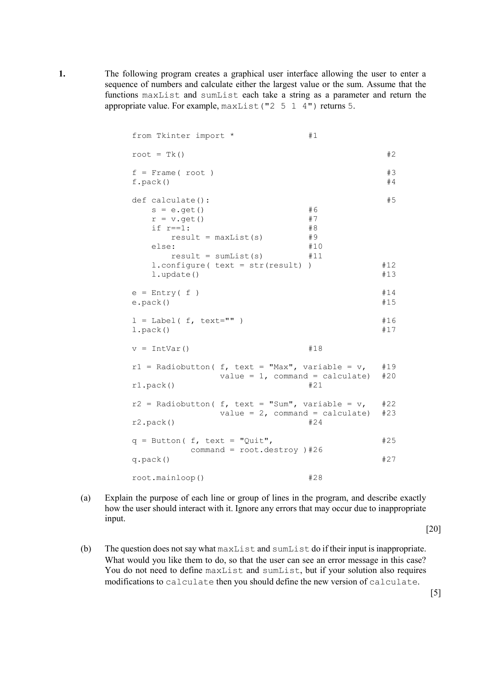**1.** The following program creates a graphical user interface allowing the user to enter a sequence of numbers and calculate either the largest value or the sum. Assume that the functions maxList and sumList each take a string as a parameter and return the appropriate value. For example, maxList("2 5 1 4") returns 5.

| from Tkinter import *                                                                                                                        |                                    | #1                                 |                  |
|----------------------------------------------------------------------------------------------------------------------------------------------|------------------------------------|------------------------------------|------------------|
| root = $Tk()$                                                                                                                                |                                    |                                    | #2               |
| $f = Frame (root)$<br>$f.\text{pack}()$                                                                                                      |                                    |                                    | #3<br>#4         |
| def calculate():<br>$s = e.get()$<br>$r = v.get()$<br>if $r == 1$ :<br>$result = maxList(s)$<br>else:<br>$result = sumList(s)$<br>l.update() | $l.configure(text = str(result))$  | #6<br>#7<br>#8<br>#9<br>#10<br>#11 | #5<br>#12<br>#13 |
| $e$ = Entry(f)<br>$e.\text{pack}()$                                                                                                          |                                    |                                    | #14<br>#15       |
| $1 =$ Label( f, text="" )<br>l.pack()                                                                                                        |                                    |                                    | #16<br>#17       |
| $v = IntVar()$                                                                                                                               |                                    | #18                                |                  |
| $r1$ = Radiobutton( f, text = "Max", variable = v,<br>$r1.\text{pack}()$                                                                     | value = $1$ , command = calculate) | #21                                | #19<br>#20       |
| $r2$ = Radiobutton( f, text = "Sum", variable = v,<br>r2.pack()                                                                              | value = $2$ , command = calculate) | #24                                | #22<br>#23       |
| $q =$ Button( f, text = "Quit",<br>command = $root.destroy$ ) #26<br>$q.\text{pack}()$                                                       |                                    |                                    | #25<br>#27       |
| root.mainloop()                                                                                                                              |                                    | #28                                |                  |

(a) Explain the purpose of each line or group of lines in the program, and describe exactly how the user should interact with it. Ignore any errors that may occur due to inappropriate input.

[20]

(b) The question does not say what maxList and sumList do if their input is inappropriate. What would you like them to do, so that the user can see an error message in this case? You do not need to define maxList and sumList, but if your solution also requires modifications to calculate then you should define the new version of calculate.

[5]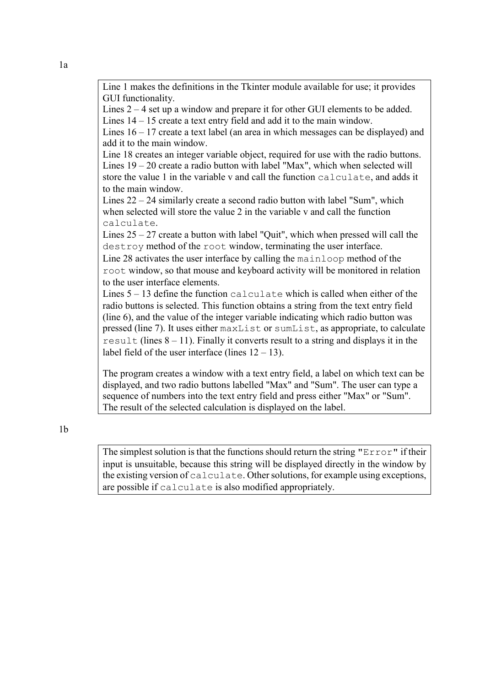Line 1 makes the definitions in the Tkinter module available for use; it provides GUI functionality.

Lines 2 – 4 set up a window and prepare it for other GUI elements to be added. Lines 14 – 15 create a text entry field and add it to the main window.

Lines 16 – 17 create a text label (an area in which messages can be displayed) and add it to the main window.

Line 18 creates an integer variable object, required for use with the radio buttons. Lines 19 – 20 create a radio button with label "Max", which when selected will store the value 1 in the variable v and call the function calculate, and adds it to the main window.

Lines 22 – 24 similarly create a second radio button with label "Sum", which when selected will store the value 2 in the variable v and call the function calculate.

Lines  $25 - 27$  create a button with label "Quit", which when pressed will call the destroy method of the root window, terminating the user interface.

Line 28 activates the user interface by calling the mainloop method of the root window, so that mouse and keyboard activity will be monitored in relation to the user interface elements.

Lines  $5 - 13$  define the function calculate which is called when either of the radio buttons is selected. This function obtains a string from the text entry field (line 6), and the value of the integer variable indicating which radio button was pressed (line 7). It uses either maxList or sumList, as appropriate, to calculate result (lines  $8 - 11$ ). Finally it converts result to a string and displays it in the label field of the user interface (lines  $12 - 13$ ).

The program creates a window with a text entry field, a label on which text can be displayed, and two radio buttons labelled "Max" and "Sum". The user can type a sequence of numbers into the text entry field and press either "Max" or "Sum". The result of the selected calculation is displayed on the label.

1b

The simplest solution is that the functions should return the string "Error" if their input is unsuitable, because this string will be displayed directly in the window by the existing version of calculate. Other solutions, for example using exceptions, are possible if calculate is also modified appropriately.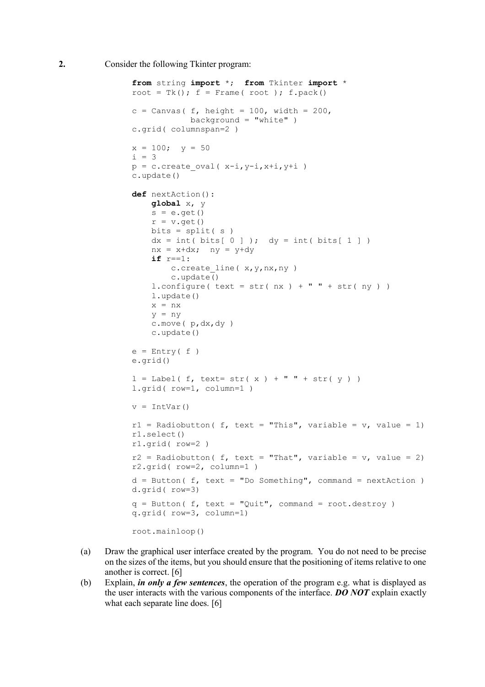**2.** Consider the following Tkinter program:

```
from string import *; from Tkinter import *
root = Tk(); f = Frame( root ); f.pack()c = Canvas ( f, height = 100, width = 200,
            background = "white")
c.grid( columnspan=2 )
x = 100; y = 50i = 3p = c.create oval( x-i, y-i, x+i, y+i )
c.update()
def nextAction():
    global x, y
   s = e.get()r = v.get()bits = split(s)dx = int( bits[ 0 ] ); dy = int( bits[ 1 ] )nx = x+dx; ny = y+dy if r==1:
        c.create line( x, y, nx, ny )
         c.update()
    l.configure( text = str( nx ) + " " + str( ny ) ) l.update()
    x = nxy = ny c.move( p,dx,dy )
     c.update()
e = Entry(f)
e.grid()
l = Label( f, text= str( x ) + " " + str( y ))
l.grid( row=1, column=1 )
v = IntVar()r1 = Radiobutton( f, text = "This", variable = v, value = 1)
r1.select()
r1.grid( row=2 )
r2 = Radiobutton( f, text = "That", variable = v, value = 2)
r2.grid( row=2, column=1 )
d = Butteron(f, text = "Do Something", command = nextAction)d.grid( row=3)
q = Button( f, text = "Quit", command = root.destroy)
q.grid( row=3, column=1)
root.mainloop()
```
- (a) Draw the graphical user interface created by the program. You do not need to be precise on the sizes of the items, but you should ensure that the positioning of items relative to one another is correct. [6]
- (b) Explain, *in only a few sentences*, the operation of the program e.g. what is displayed as the user interacts with the various components of the interface. *DO NOT* explain exactly what each separate line does. [6]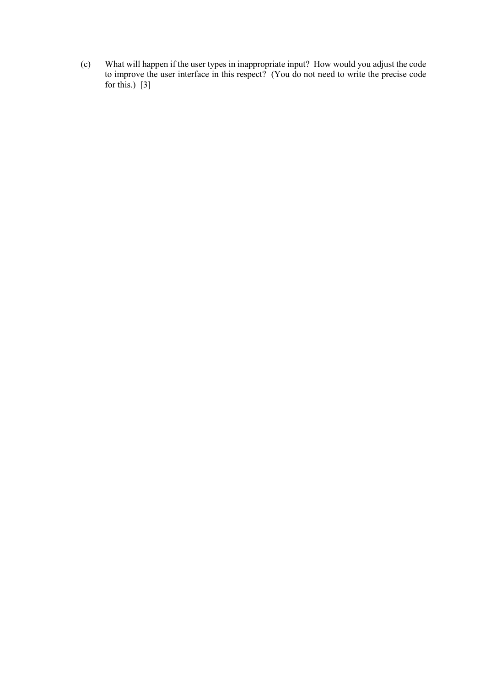(c) What will happen if the user types in inappropriate input? How would you adjust the code to improve the user interface in this respect? (You do not need to write the precise code for this.)  $[3]$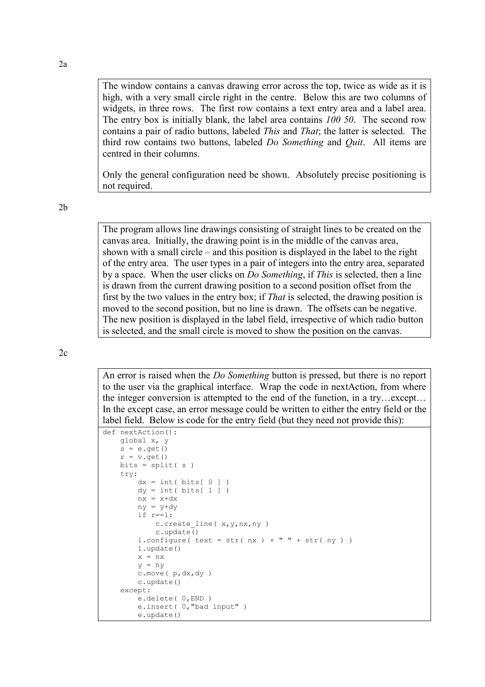The window contains a canvas drawing error across the top, twice as wide as it is high, with a very small circle right in the centre. Below this are two columns of widgets, in three rows. The first row contains a text entry area and a label area. The entry box is initially blank, the label area contains *100 50*. The second row contains a pair of radio buttons, labeled *This* and *That*; the latter is selected. The third row contains two buttons, labeled *Do Something* and *Quit*. All items are centred in their columns.

Only the general configuration need be shown. Absolutely precise positioning is not required.

2b

The program allows line drawings consisting of straight lines to be created on the canvas area. Initially, the drawing point is in the middle of the canvas area, shown with a small circle – and this position is displayed in the label to the right of the entry area. The user types in a pair of integers into the entry area, separated by a space. When the user clicks on *Do Something*, if *This* is selected, then a line is drawn from the current drawing position to a second position offset from the first by the two values in the entry box; if *That* is selected, the drawing position is moved to the second position, but no line is drawn. The offsets can be negative. The new position is displayed in the label field, irrespective of which radio button is selected, and the small circle is moved to show the position on the canvas.

 $2c$ 

An error is raised when the *Do Something* button is pressed, but there is no report to the user via the graphical interface. Wrap the code in nextAction, from where the integer conversion is attempted to the end of the function, in a try…except… In the except case, an error message could be written to either the entry field or the label field. Below is code for the entry field (but they need not provide this):

```
def nextAction():
    global x, y
    s = e.get()r = v.get()bits = split(s) try:
        dx = int(bits[0])dy = int( bits[ 1 ] )nx = x+dxny = y+dy if r==1:
           c.create line( x, y, nx, ny )
            c.update()
        l.configure( text = str( nx ) + " " + str( ny ) ) l.update()
       x = nxy = ny c.move( p,dx,dy )
        c.update()
     except:
        e.delete( 0,END )
         e.insert( 0,"bad input" )
         e.update()
```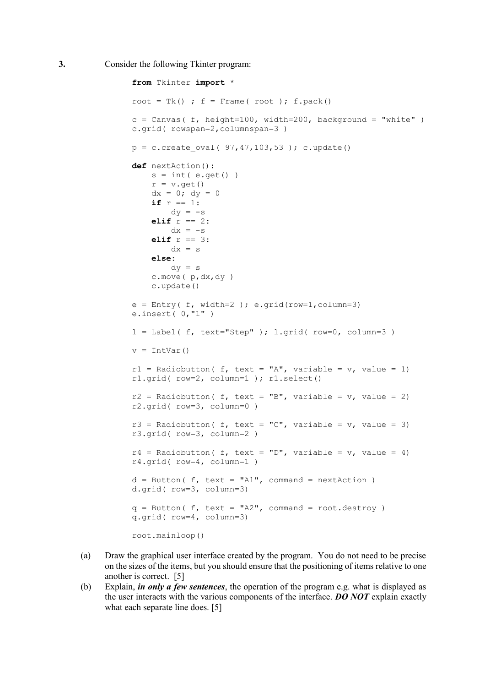```
from Tkinter import *
root = Tk() ; f = Frame( root ); f.pack()c = Canvas( f, height=100, width=200, background = "white")
c.grid( rowspan=2,columnspan=3 )
p = c.create oval ( 97,47,103,53 ); c.update()
def nextAction(): 
   s = int( e.get() )r = v.get()dx = 0; dy = 0if r == 1:
       dy = -selif r == 2:
       dx = -selif r == 3:
       dx = s else:
        dy = s c.move( p,dx,dy )
     c.update()
e = Entry( f, width=2 ); e.grid(row=1, column=3)
e.insert( 0,"1" )
l = Label( f, text="Step" ); l.grid( row=0, column=3 )
v = IntVar()r1 = Radiobutton( f, text = "A", variable = v, value = 1)
r1.grid( row=2, column=1 ); r1.select() 
r2 = Radiobutton( f, text = "B", variable = v, value = 2)
r2.grid( row=3, column=0 )
r3 = Radiobutton( f, text = "C", variable = v, value = 3)
r3.grid( row=3, column=2 )
r4 = Radiobutton( f, text = "D", variable = v, value = 4)
r4.grid( row=4, column=1 )
d = Button( f, text = "A1", command = nextAction)
d.grid( row=3, column=3)
q = Butteron( f, text = "A2", command = root.destroy)q.grid( row=4, column=3)
root.mainloop()
```
- (a) Draw the graphical user interface created by the program. You do not need to be precise on the sizes of the items, but you should ensure that the positioning of items relative to one another is correct. [5]
- (b) Explain, *in only a few sentences*, the operation of the program e.g. what is displayed as the user interacts with the various components of the interface. *DO NOT* explain exactly what each separate line does. [5]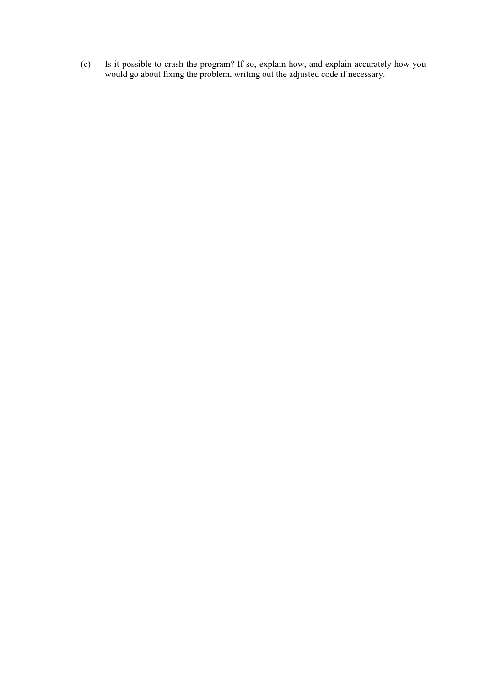(c) Is it possible to crash the program? If so, explain how, and explain accurately how you would go about fixing the problem, writing out the adjusted code if necessary.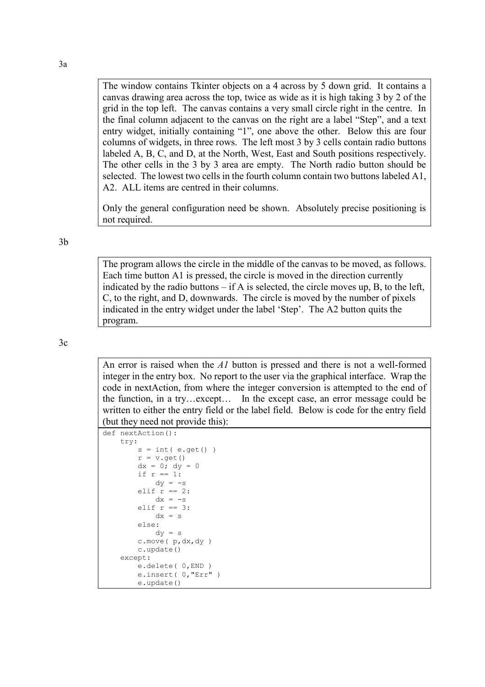The window contains Tkinter objects on a 4 across by 5 down grid. It contains a canvas drawing area across the top, twice as wide as it is high taking 3 by 2 of the grid in the top left. The canvas contains a very small circle right in the centre. In the final column adjacent to the canvas on the right are a label "Step", and a text entry widget, initially containing "1", one above the other. Below this are four columns of widgets, in three rows. The left most 3 by 3 cells contain radio buttons labeled A, B, C, and D, at the North, West, East and South positions respectively. The other cells in the 3 by 3 area are empty. The North radio button should be selected. The lowest two cells in the fourth column contain two buttons labeled A1, A2. ALL items are centred in their columns.

Only the general configuration need be shown. Absolutely precise positioning is not required.

3b

The program allows the circle in the middle of the canvas to be moved, as follows. Each time button A1 is pressed, the circle is moved in the direction currently indicated by the radio buttons  $-$  if A is selected, the circle moves up, B, to the left, C, to the right, and D, downwards. The circle is moved by the number of pixels indicated in the entry widget under the label 'Step'. The A2 button quits the program.

3c

An error is raised when the *A1* button is pressed and there is not a well-formed integer in the entry box. No report to the user via the graphical interface. Wrap the code in nextAction, from where the integer conversion is attempted to the end of the function, in a try…except… In the except case, an error message could be written to either the entry field or the label field. Below is code for the entry field (but they need not provide this):

```
def nextAction():
     try:
        s = int( e.get() )r = v.get()dx = 0; dy = 0if r == 1:
            dy = -selif r == 2:
            dx = -selif r == 3:
            dx = s else:
            dy = s c.move( p,dx,dy )
        c.update()
     except:
        e.delete( 0,END )
         e.insert( 0,"Err" )
         e.update()
```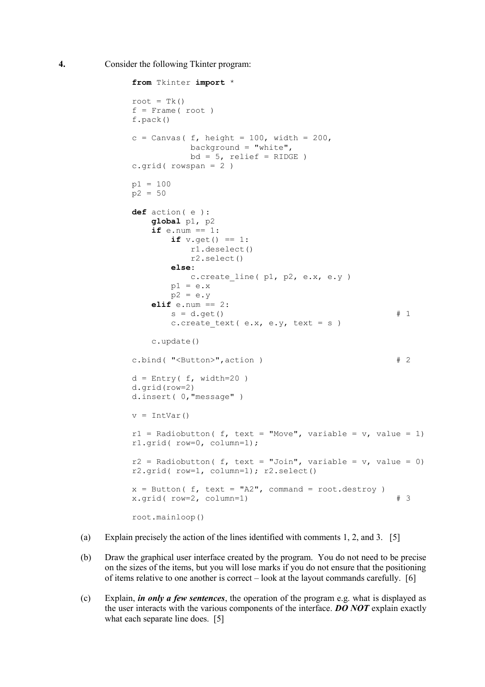**4.** Consider the following Tkinter program:

```
from Tkinter import *
root = Tk()f = Frame(root)
f.pack()
c = Canvas ( f, height = 100, width = 200,
           background = "\text{white}",
           bd = 5, relief = RIDGE )
c.grid(rowspan = 2)p1 = 100
p2 = 50def action( e ):
    global p1, p2
    if e.num == 1:
       if v.get() == 1:
           r1.deselect()
            r2.select()
        else:
          c.create line( p1, p2, e.x, e.y )
       p1 = e.xp2 = e \cdot y elif e.num == 2:
       s = d.get() # 1
       c.create text( e.x, e.y, text = s )
    c.update()
c.bind( "<Button>", action ) # 2
d = Entry ( f, width=20 )
d.grid(row=2)
d.insert( 0,"message" )
v = IntVar()r1 = Radiobutton( f, text = "Move", variable = v, value = 1)
r1.grid( row=0, column=1); 
r2 = Radiobutton( f, text = "Join", variable = v, value = 0)
r2.grid( row=1, column=1); r2.select() 
x = Butteron( f, text = "A2", command = root.destroy )x.grid( row=2, column=1) # 3
root.mainloop()
```
- (a) Explain precisely the action of the lines identified with comments 1, 2, and 3. [5]
- (b) Draw the graphical user interface created by the program. You do not need to be precise on the sizes of the items, but you will lose marks if you do not ensure that the positioning of items relative to one another is correct – look at the layout commands carefully. [6]
- (c) Explain, *in only a few sentences*, the operation of the program e.g. what is displayed as the user interacts with the various components of the interface. *DO NOT* explain exactly what each separate line does. [5]